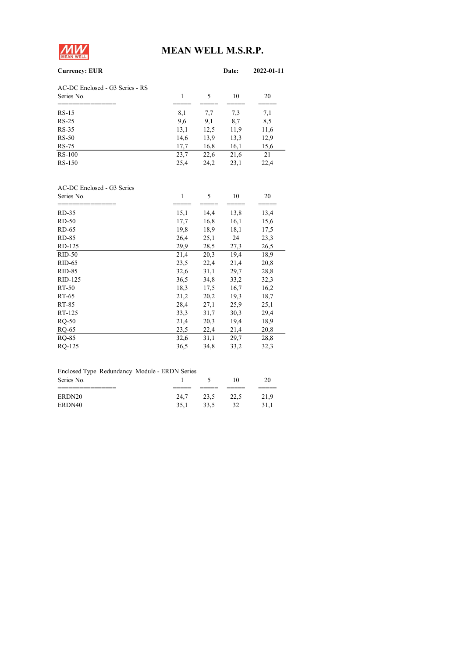

# MEAN WELL M.S.R.P.

| <b>Currency: EUR</b>            |      |      | Date: | 2022-01-11 |
|---------------------------------|------|------|-------|------------|
| AC-DC Enclosed - G3 Series - RS |      |      |       |            |
| Series No.                      |      | 5    | 10    | 20         |
|                                 |      |      |       |            |
| $RS-15$                         | 8,1  | 7,7  | 7,3   | 7,1        |
| $RS-25$                         | 9,6  | 9,1  | 8,7   | 8,5        |
| $RS-35$                         | 13,1 | 12,5 | 11,9  | 11,6       |
| $RS-50$                         | 14,6 | 13,9 | 13,3  | 12,9       |
| RS-75                           | 17,7 | 16,8 | 16,1  | 15,6       |
| $RS-100$                        | 23,7 | 22,6 | 21,6  | 21         |
| RS-150                          | 25,4 | 24,2 | 23,1  | 22,4       |
|                                 |      |      |       |            |

| AC-DC Enclosed - G3 Series |      |      |      |      |
|----------------------------|------|------|------|------|
| Series No.                 | 1    | 5    | 10   | 20   |
| RD-35                      | 15,1 | 14,4 | 13,8 | 13,4 |
| $RD-50$                    | 17,7 | 16,8 | 16,1 | 15,6 |
| RD-65                      | 19,8 | 18,9 | 18,1 | 17,5 |
| RD-85                      | 26,4 | 25,1 | 24   | 23,3 |
| RD-125                     | 29,9 | 28,5 | 27,3 | 26,5 |
| $RID-50$                   | 21,4 | 20,3 | 19,4 | 18,9 |
| $RID-65$                   | 23,5 | 22,4 | 21,4 | 20,8 |
| $RID-85$                   | 32,6 | 31,1 | 29,7 | 28,8 |
| RID-125                    | 36,5 | 34,8 | 33,2 | 32,3 |
| RT-50                      | 18,3 | 17,5 | 16,7 | 16,2 |
| RT-65                      | 21,2 | 20,2 | 19,3 | 18,7 |
| RT-85                      | 28,4 | 27,1 | 25,9 | 25,1 |
| RT-125                     | 33,3 | 31,7 | 30,3 | 29,4 |
| $RQ-50$                    | 21,4 | 20,3 | 19,4 | 18,9 |
| RQ-65                      | 23,5 | 22,4 | 21,4 | 20,8 |
| <b>RQ-85</b>               | 32,6 | 31,1 | 29,7 | 28,8 |
| RQ-125                     | 36,5 | 34,8 | 33,2 | 32,3 |

| Enclosed Type Redundancy Module - ERDN Series |      |      |      |      |
|-----------------------------------------------|------|------|------|------|
| Series No.                                    |      |      | 10   | 20   |
|                                               |      |      |      |      |
| ERDN20                                        | 24.7 | 23.5 | 22.5 | 21.9 |
| ERDN40                                        | 35.1 | 33.5 | 32   | 31.1 |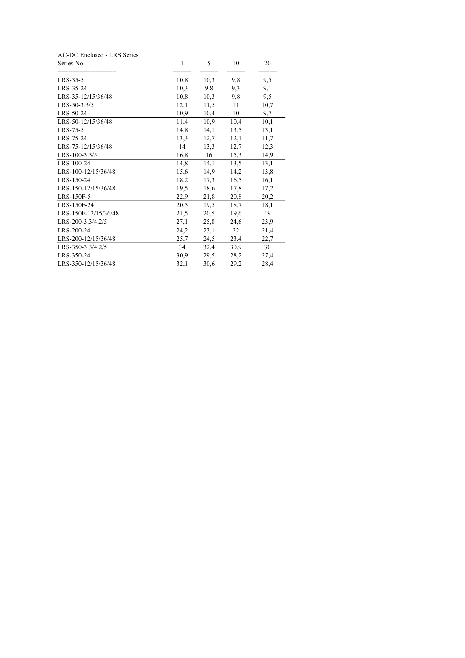| AC-DC Enclosed - LRS Series |      |      |      |      |
|-----------------------------|------|------|------|------|
| Series No.                  | 1    | 5    | 10   | 20   |
|                             |      |      |      |      |
| $LRS-35-5$                  | 10,8 | 10,3 | 9,8  | 9,5  |
| LRS-35-24                   | 10,3 | 9,8  | 9,3  | 9,1  |
| LRS-35-12/15/36/48          | 10,8 | 10,3 | 9,8  | 9,5  |
| LRS-50-3.3/5                | 12,1 | 11,5 | 11   | 10,7 |
| LRS-50-24                   | 10,9 | 10,4 | 10   | 9,7  |
| LRS-50-12/15/36/48          | 11,4 | 10,9 | 10,4 | 10,1 |
| LRS-75-5                    | 14,8 | 14,1 | 13,5 | 13,1 |
| LRS-75-24                   | 13,3 | 12,7 | 12,1 | 11,7 |
| LRS-75-12/15/36/48          | 14   | 13,3 | 12,7 | 12,3 |
| LRS-100-3.3/5               | 16,8 | 16   | 15,3 | 14,9 |
| LRS-100-24                  | 14,8 | 14,1 | 13,5 | 13,1 |
| LRS-100-12/15/36/48         | 15,6 | 14,9 | 14,2 | 13,8 |
| LRS-150-24                  | 18,2 | 17,3 | 16,5 | 16,1 |
| LRS-150-12/15/36/48         | 19,5 | 18,6 | 17,8 | 17,2 |
| LRS-150F-5                  | 22,9 | 21,8 | 20,8 | 20,2 |
| LRS-150F-24                 | 20,5 | 19,5 | 18,7 | 18,1 |
| LRS-150F-12/15/36/48        | 21,5 | 20,5 | 19,6 | 19   |
| LRS-200-3.3/4.2/5           | 27,1 | 25,8 | 24,6 | 23,9 |
| LRS-200-24                  | 24,2 | 23,1 | 22   | 21,4 |
| LRS-200-12/15/36/48         | 25,7 | 24,5 | 23,4 | 22,7 |
| LRS-350-3.3/4.2/5           | 34   | 32,4 | 30,9 | 30   |
| LRS-350-24                  | 30,9 | 29,5 | 28,2 | 27,4 |
| LRS-350-12/15/36/48         | 32,1 | 30,6 | 29,2 | 28,4 |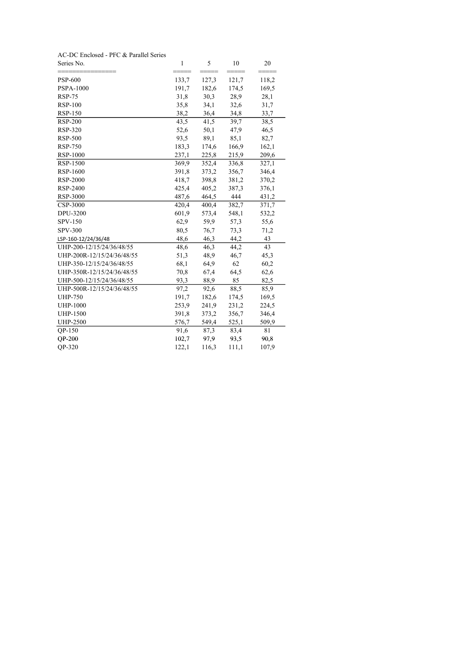| Series No.                 | 1     | 5     | 10    | 20    |
|----------------------------|-------|-------|-------|-------|
| <b>PSP-600</b>             | 133,7 | 127,3 | 121,7 | 118,2 |
| <b>PSPA-1000</b>           | 191,7 | 182,6 | 174,5 | 169,5 |
| <b>RSP-75</b>              | 31,8  | 30,3  | 28,9  | 28,1  |
| <b>RSP-100</b>             | 35,8  | 34,1  | 32,6  | 31,7  |
| <b>RSP-150</b>             | 38,2  | 36,4  | 34,8  | 33,7  |
| <b>RSP-200</b>             | 43,5  | 41,5  | 39,7  | 38,5  |
| <b>RSP-320</b>             | 52,6  | 50,1  | 47,9  | 46,5  |
| <b>RSP-500</b>             | 93,5  | 89,1  | 85,1  | 82,7  |
| <b>RSP-750</b>             | 183,3 | 174,6 | 166,9 | 162,1 |
| RSP-1000                   | 237,1 | 225,8 | 215,9 | 209,6 |
| RSP-1500                   | 369,9 | 352,4 | 336,8 | 327,1 |
| RSP-1600                   | 391,8 | 373,2 | 356,7 | 346,4 |
| RSP-2000                   | 418,7 | 398,8 | 381,2 | 370,2 |
| RSP-2400                   | 425,4 | 405,2 | 387,3 | 376,1 |
| RSP-3000                   | 487,6 | 464,5 | 444   | 431,2 |
| CSP-3000                   | 420,4 | 400,4 | 382,7 | 371,7 |
| DPU-3200                   | 601,9 | 573,4 | 548,1 | 532,2 |
| SPV-150                    | 62,9  | 59,9  | 57,3  | 55,6  |
| <b>SPV-300</b>             | 80,5  | 76,7  | 73,3  | 71,2  |
| LSP-160-12/24/36/48        | 48,6  | 46,3  | 44,2  | 43    |
| UHP-200-12/15/24/36/48/55  | 48,6  | 46,3  | 44,2  | 43    |
| UHP-200R-12/15/24/36/48/55 | 51,3  | 48,9  | 46,7  | 45,3  |
| UHP-350-12/15/24/36/48/55  | 68,1  | 64,9  | 62    | 60,2  |
| UHP-350R-12/15/24/36/48/55 | 70,8  | 67,4  | 64,5  | 62,6  |
| UHP-500-12/15/24/36/48/55  | 93,3  | 88,9  | 85    | 82,5  |
| UHP-500R-12/15/24/36/48/55 | 97,2  | 92,6  | 88,5  | 85,9  |
| <b>UHP-750</b>             | 191,7 | 182,6 | 174,5 | 169,5 |
| <b>UHP-1000</b>            | 253,9 | 241,9 | 231,2 | 224,5 |
| <b>UHP-1500</b>            | 391,8 | 373,2 | 356,7 | 346,4 |
| <b>UHP-2500</b>            | 576,7 | 549,4 | 525,1 | 509,9 |
| QP-150                     | 91,6  | 87,3  | 83,4  | 81    |
| <b>QP-200</b>              | 102,7 | 97,9  | 93,5  | 90,8  |
| OP-320                     | 122,1 | 116,3 | 111,1 | 107,9 |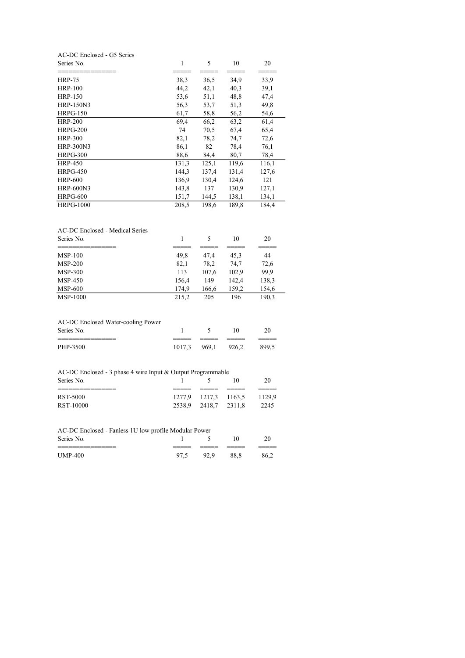| AC-DC Enclosed - G5 Series                                  |                |               |               |                |
|-------------------------------------------------------------|----------------|---------------|---------------|----------------|
| Series No.                                                  | $\mathbf{1}$   | 5             | 10            | 20             |
| <b>HRP-75</b>                                               | 38,3           | 36,5          | 34,9          | 33,9           |
| <b>HRP-100</b>                                              | 44,2           | 42,1          | 40,3          | 39,1           |
| <b>HRP-150</b>                                              | 53,6           | 51,1          | 48,8          | 47,4           |
| <b>HRP-150N3</b>                                            | 56,3           | 53,7          | 51,3          | 49,8           |
| <b>HRPG-150</b>                                             | 61,7           | 58,8          | 56,2          | 54,6           |
| <b>HRP-200</b>                                              | 69,4           | 66,2          | 63,2          | 61,4           |
| HRPG-200                                                    | 74             | 70,5          | 67,4          | 65,4           |
| <b>HRP-300</b>                                              | 82,1           | 78,2          | 74,7          | 72,6           |
| <b>HRP-300N3</b>                                            | 86,1           | 82            | 78,4          | 76,1           |
| <b>HRPG-300</b>                                             | 88,6           | 84,4          | 80,7          | 78,4           |
| <b>HRP-450</b>                                              | 131,3          | 125,1         | 119,6         | 116,1          |
| <b>HRPG-450</b>                                             | 144,3          | 137,4         | 131,4         | 127,6          |
| <b>HRP-600</b>                                              | 136,9          | 130,4         | 124,6         | 121            |
| <b>HRP-600N3</b>                                            | 143,8          | 137           | 130,9         | 127,1          |
| <b>HRPG-600</b>                                             | 151,7          | 144,5         | 138,1         | 134,1          |
| <b>HRPG-1000</b>                                            | 208,5          | 198,6         | 189,8         | 184,4          |
| <b>AC-DC Enclosed - Medical Series</b><br>Series No.        | 1              | 5             | 10            | 20             |
|                                                             |                |               |               |                |
| MSP-100                                                     | 49,8           | 47,4          | 45,3          | 44             |
| <b>MSP-200</b><br><b>MSP-300</b>                            | 82,1<br>113    | 78,2<br>107,6 | 74,7<br>102,9 | 72,6<br>99,9   |
| <b>MSP-450</b>                                              | 156,4          | 149           | 142,4         | 138,3          |
| <b>MSP-600</b>                                              |                |               | 159,2         |                |
| <b>MSP-1000</b>                                             | 174,9<br>215,2 | 166,6<br>205  | 196           | 154,6<br>190,3 |
| AC-DC Enclosed Water-cooling Power                          |                |               |               |                |
| Series No.                                                  | 1              | 5             | 10            | 20             |
| PHP-3500                                                    | 1017,3         | 969,1         | 926,2         | 899,5          |
| AC-DC Enclosed - 3 phase 4 wire Input & Output Programmable |                |               |               |                |
| Series No.                                                  | 1              | 5             | 10            | 20             |
| RST-5000                                                    | 1277,9         | 1217,3        | 1163,5        | 1129,9         |
| RST-10000                                                   | 2538,9         | 2418,7        | 2311,8        | 2245           |
| AC-DC Enclosed - Fanless 1U low profile Modular Power       |                |               |               |                |
| Series No.                                                  | 1              | 5             | 10            | 20             |
| <b>UMP-400</b>                                              | 97,5           | 92,9          | 88,8          | 86,2           |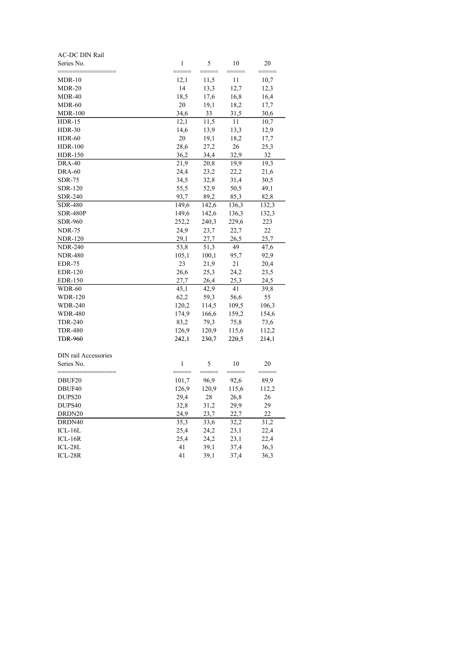| AC-DC DIN Rail                   |               |               |               |               |
|----------------------------------|---------------|---------------|---------------|---------------|
| Series No.                       | $\mathbf{1}$  | 5             | 10            | 20            |
| $MDR-10$                         | 12,1          | 11,5          | 11            | 10,7          |
| <b>MDR-20</b>                    | 14            | 13,3          | 12,7          | 12,3          |
| <b>MDR-40</b>                    | 18,5          | 17,6          | 16,8          | 16,4          |
| MDR-60                           | 20            | 19,1          | 18,2          | 17,7          |
| <b>MDR-100</b>                   | 34,6          | 33            | 31,5          | 30,6          |
| <b>HDR-15</b>                    | 12,1          | 11,5          | 11            | 10,7          |
| <b>HDR-30</b>                    | 14,6          | 13,9          | 13,3          | 12,9          |
| <b>HDR-60</b>                    | 20            | 19,1          | 18,2          | 17,7          |
| <b>HDR-100</b>                   | 28,6          | 27,2          | 26            | 25,3          |
| HDR-150                          | 36,2          | 34,4          | 32,9          | 32            |
| <b>DRA-40</b>                    | 21,9          | 20,8          | 19,9          | 19,3          |
| <b>DRA-60</b>                    | 24,4          | 23,2          | 22,2          | 21,6          |
| <b>SDR-75</b>                    | 34,5          | 32,8          | 31,4          | 30,5          |
| <b>SDR-120</b>                   | 55,5          | 52,9          | 50,5          | 49,1          |
| <b>SDR-240</b>                   | 93,7          | 89,2          | 85,3          | 82,8          |
| SDR-480                          | 149,6         | 142,6         | 136,3         | 132,3         |
| <b>SDR-480P</b>                  | 149,6         | 142,6         | 136,3         | 132,3         |
| <b>SDR-960</b>                   | 252,2         | 240,3         | 229,6         | 223           |
| <b>NDR-75</b>                    | 24,9          | 23,7          | 22,7          | 22            |
| <b>NDR-120</b>                   | 29,1          | 27,7          | 26,5          | 25,7          |
| <b>NDR-240</b>                   | 53,8          | 51,3          | 49            | 47,6          |
| <b>NDR-480</b>                   | 105,1         | 100,1         | 95,7          | 92,9          |
| <b>EDR-75</b>                    | 23            | 21,9          | 21            | 20,4          |
| <b>EDR-120</b>                   | 26,6          | 25,3          | 24,2          | 23,5          |
| <b>EDR-150</b>                   | 27,7          | 26,4          | 25,3          | 24,5          |
| <b>WDR-60</b>                    | 45,1          | 42,9          | 41            | 39,8          |
| <b>WDR-120</b>                   | 62,2          | 59,3          | 56,6          | 55            |
| <b>WDR-240</b>                   | 120,2         | 114,5         | 109,5         | 106,3         |
| <b>WDR-480</b><br><b>TDR-240</b> | 174,9         | 166,6         | 159,2         | 154,6         |
| <b>TDR-480</b>                   | 83,2<br>126,9 | 79,3<br>120,9 | 75,8<br>115,6 | 73,6<br>112,2 |
| <b>TDR-960</b>                   | 242,1         | 230,7         | 220,5         | 214,1         |
|                                  |               |               |               |               |
| DIN rail Accessories             |               |               |               |               |
| Series No.                       | $\mathbf{1}$  | 5             | 10            | 20            |
| DBUF20                           | 101,7         | 96,9          | 92,6          | 89,9          |
| DBUF40                           | 126,9         | 120,9         | 115,6         | 112,2         |
| DUPS <sub>20</sub>               | 29,4          | 28            | 26,8          | 26            |
| DUPS40                           | 32,8          | 31,2          | 29,9          | 29            |
| DRDN20                           | 24,9          | 23,7          | 22,7          | 22            |
| DRDN40                           | 35,3          | 33,6          | 32,2          | 31,2          |
| $ICL-16L$                        | 25,4          | 24,2          | 23,1          | 22,4          |
| $ICL-16R$                        | 25,4          | 24,2          | 23,1          | 22,4          |
| ICL-28L                          | 41            | 39,1          | 37,4          | 36,3          |
| $ICL-28R$                        | 41            | 39,1          | 37,4          | 36,3          |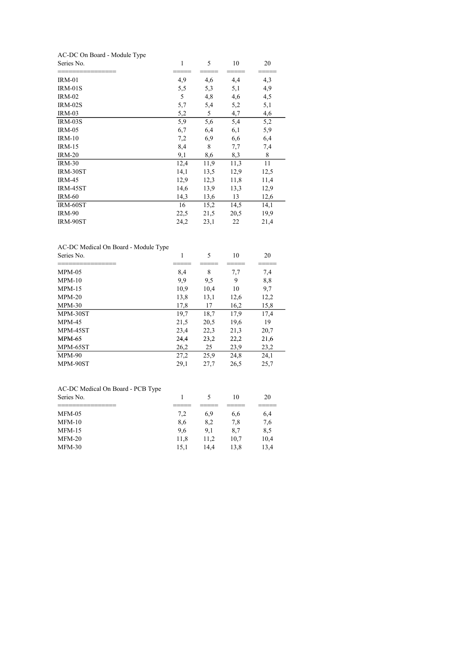# AC-DC On Board - Module Type

| Series No.     | 1    | 5    | 10   | 20   |
|----------------|------|------|------|------|
| <b>IRM-01</b>  | 4,9  | 4,6  | 4,4  | 4,3  |
| IRM-01S        | 5,5  | 5,3  | 5,1  | 4,9  |
| $IRM-02$       | 5    | 4,8  | 4,6  | 4,5  |
| IRM-02S        | 5,7  | 5,4  | 5,2  | 5,1  |
| <b>IRM-03</b>  | 5,2  | 5    | 4,7  | 4,6  |
| <b>IRM-03S</b> | 5,9  | 5,6  | 5,4  | 5,2  |
| <b>IRM-05</b>  | 6,7  | 6,4  | 6,1  | 5,9  |
| $IRM-10$       | 7,2  | 6,9  | 6,6  | 6,4  |
| $IRM-15$       | 8,4  | 8    | 7,7  | 7,4  |
| <b>IRM-20</b>  | 9,1  | 8,6  | 8,3  | 8    |
| <b>IRM-30</b>  | 12,4 | 11,9 | 11,3 | 11   |
| IRM-30ST       | 14,1 | 13,5 | 12,9 | 12,5 |
| <b>IRM-45</b>  | 12,9 | 12,3 | 11,8 | 11,4 |
| IRM-45ST       | 14,6 | 13,9 | 13,3 | 12,9 |
| <b>IRM-60</b>  | 14,3 | 13,6 | 13   | 12,6 |
| IRM-60ST       | 16   | 15,2 | 14,5 | 14,1 |
| <b>IRM-90</b>  | 22,5 | 21,5 | 20,5 | 19,9 |
| IRM-90ST       | 24,2 | 23,1 | 22   | 21,4 |

## AC-DC Medical On Board - Module Type

| Series No.    | 1    | 5    | 10   | 20   |  |
|---------------|------|------|------|------|--|
| $MPM-05$      | 8,4  | 8    | 7,7  | 7,4  |  |
| $MPM-10$      | 9,9  | 9,5  | 9    | 8,8  |  |
| $MPM-15$      | 10,9 | 10,4 | 10   | 9,7  |  |
| $MPM-20$      | 13,8 | 13,1 | 12,6 | 12,2 |  |
| $MPM-30$      | 17,8 | 17   | 16,2 | 15,8 |  |
| MPM-30ST      | 19,7 | 18,7 | 17,9 | 17,4 |  |
| $MPM-45$      | 21,5 | 20,5 | 19,6 | 19   |  |
| MPM-45ST      | 23,4 | 22,3 | 21,3 | 20,7 |  |
| <b>MPM-65</b> | 24,4 | 23,2 | 22,2 | 21,6 |  |
| MPM-65ST      | 26,2 | 25   | 23,9 | 23,2 |  |
| $MPM-90$      | 27,2 | 25,9 | 24,8 | 24,1 |  |
| MPM-90ST      | 29,1 | 27,7 | 26,5 | 25,7 |  |
|               |      |      |      |      |  |

#### AC-DC Medical On Board - PCB Type

| Series No. |      |      | 10   | 20   |
|------------|------|------|------|------|
|            |      |      |      |      |
| $MFM-05$   | 7.2  | 6.9  | 6.6  | 6,4  |
| $MFM-10$   | 8,6  | 8.2  | 7.8  | 7.6  |
| $MFM-15$   | 9.6  | 9.1  | 8.7  | 8,5  |
| $MFM-20$   | 11.8 | 11.2 | 10.7 | 10,4 |
| $MFM-30$   | 15.1 | 14.4 | 13.8 | 13.4 |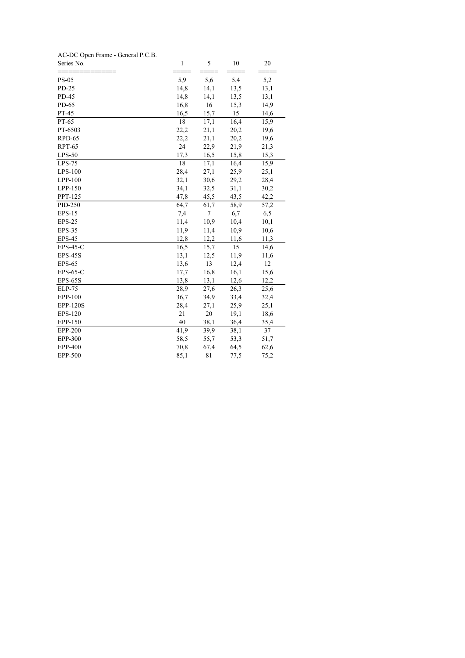| AC-DC Open Frame - General P.C.B. |              |      |      |      |
|-----------------------------------|--------------|------|------|------|
| Series No.                        | $\mathbf{1}$ | 5    | 10   | 20   |
| <b>PS-05</b>                      | 5,9          | 5,6  | 5,4  | 5,2  |
| PD-25                             | 14,8         | 14,1 | 13,5 | 13,1 |
| PD-45                             | 14,8         | 14,1 | 13,5 | 13,1 |
| PD-65                             | 16,8         | 16   | 15,3 | 14,9 |
| PT-45                             | 16,5         | 15,7 | 15   | 14,6 |
| PT-65                             | 18           | 17,1 | 16,4 | 15,9 |
| PT-6503                           | 22,2         | 21,1 | 20,2 | 19,6 |
| RPD-65                            | 22,2         | 21,1 | 20,2 | 19,6 |
| <b>RPT-65</b>                     | 24           | 22,9 | 21,9 | 21,3 |
| $LPS-50$                          | 17,3         | 16,5 | 15,8 | 15,3 |
| $LPS-75$                          | 18           | 17,1 | 16,4 | 15,9 |
| LPS-100                           | 28,4         | 27,1 | 25,9 | 25,1 |
| $LPP-100$                         | 32,1         | 30,6 | 29,2 | 28,4 |
| LPP-150                           | 34,1         | 32,5 | 31,1 | 30,2 |
| PPT-125                           | 47,8         | 45,5 | 43,5 | 42,2 |
| PID-250                           | 64,7         | 61,7 | 58,9 | 57,2 |
| <b>EPS-15</b>                     | 7,4          | 7    | 6,7  | 6,5  |
| <b>EPS-25</b>                     | 11,4         | 10,9 | 10,4 | 10,1 |
| <b>EPS-35</b>                     | 11,9         | 11,4 | 10,9 | 10,6 |
| <b>EPS-45</b>                     | 12,8         | 12,2 | 11,6 | 11,3 |
| $EPS-45-C$                        | 16,5         | 15,7 | 15   | 14,6 |
| <b>EPS-45S</b>                    | 13,1         | 12,5 | 11,9 | 11,6 |
| <b>EPS-65</b>                     | 13,6         | 13   | 12,4 | 12   |
| $EPS-65-C$                        | 17,7         | 16,8 | 16,1 | 15,6 |
| <b>EPS-65S</b>                    | 13,8         | 13,1 | 12,6 | 12,2 |
| ELP-75                            | 28,9         | 27,6 | 26,3 | 25,6 |
| EPP-100                           | 36,7         | 34,9 | 33,4 | 32,4 |
| <b>EPP-120S</b>                   | 28,4         | 27,1 | 25,9 | 25,1 |
| EPS-120                           | 21           | 20   | 19,1 | 18,6 |
| EPP-150                           | 40           | 38,1 | 36,4 | 35,4 |
| <b>EPP-200</b>                    | 41,9         | 39,9 | 38,1 | 37   |
| <b>EPP-300</b>                    | 58,5         | 55,7 | 53,3 | 51,7 |
| <b>EPP-400</b>                    | 70,8         | 67,4 | 64,5 | 62,6 |
| EPP-500                           | 85,1         | 81   | 77,5 | 75,2 |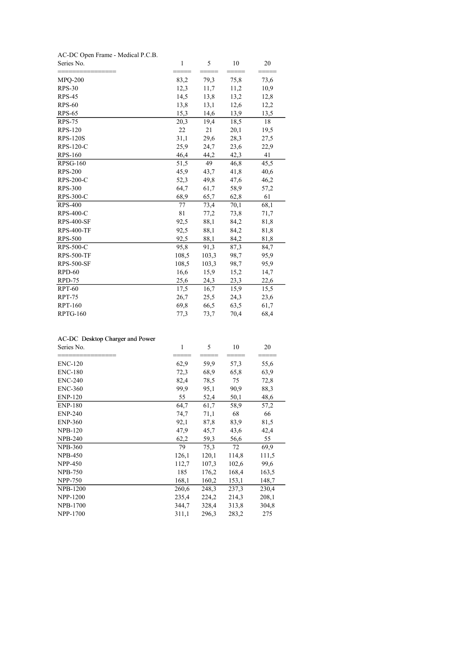| Series No.        | $\mathbf{1}$<br>===== | 5<br>==== | 10<br>==== | 20<br>==== |
|-------------------|-----------------------|-----------|------------|------------|
| <b>MPQ-200</b>    | 83,2                  | 79,3      | 75,8       | 73,6       |
| <b>RPS-30</b>     | 12,3                  | 11,7      | 11,2       | 10,9       |
| <b>RPS-45</b>     | 14,5                  | 13,8      | 13,2       | 12,8       |
| $RPS-60$          | 13,8                  | 13,1      | 12,6       | 12,2       |
| <b>RPS-65</b>     | 15,3                  | 14,6      | 13,9       | 13,5       |
| <b>RPS-75</b>     | 20,3                  | 19,4      | 18,5       | 18         |
| <b>RPS-120</b>    | 22                    | 21        | 20,1       | 19,5       |
| <b>RPS-120S</b>   | 31,1                  | 29,6      | 28,3       | 27,5       |
| <b>RPS-120-C</b>  | 25,9                  | 24,7      | 23,6       | 22,9       |
| <b>RPS-160</b>    | 46,4                  | 44,2      | 42,3       | 41         |
| <b>RPSG-160</b>   | 51,5                  | 49        | 46,8       | 45,5       |
| <b>RPS-200</b>    | 45,9                  | 43,7      | 41,8       | 40,6       |
| <b>RPS-200-C</b>  | 52,3                  | 49,8      | 47,6       | 46,2       |
| <b>RPS-300</b>    | 64,7                  | 61,7      | 58,9       | 57,2       |
| RPS-300-C         | 68,9                  | 65,7      | 62,8       | 61         |
| <b>RPS-400</b>    | 77                    | 73,4      | 70,1       | 68,1       |
| <b>RPS-400-C</b>  | 81                    | 77,2      | 73,8       | 71,7       |
| <b>RPS-400-SF</b> | 92,5                  | 88,1      | 84,2       | 81,8       |
| <b>RPS-400-TF</b> | 92,5                  | 88,1      | 84,2       | 81,8       |
| <b>RPS-500</b>    | 92,5                  | 88,1      | 84,2       | 81,8       |
| <b>RPS-500-C</b>  | 95,8                  | 91,3      | 87,3       | 84,7       |
| <b>RPS-500-TF</b> | 108,5                 | 103,3     | 98,7       | 95,9       |
| <b>RPS-500-SF</b> | 108,5                 | 103,3     | 98,7       | 95,9       |
| $RPD-60$          | 16,6                  | 15,9      | 15,2       | 14,7       |
| RPD-75            | 25,6                  | 24,3      | 23,3       | 22,6       |
| <b>RPT-60</b>     | 17,5                  | 16,7      | 15,9       | 15,5       |
| <b>RPT-75</b>     | 26,7                  | 25,5      | 24,3       | 23,6       |
| <b>RPT-160</b>    | 69,8                  | 66,5      | 63,5       | 61,7       |
| <b>RPTG-160</b>   | 77,3                  | 73,7      | 70,4       | 68,4       |

#### AC-DC Desktop Charger and Power

| Series No.      | 1     | 5     | 10    | 20    |
|-----------------|-------|-------|-------|-------|
| <b>ENC-120</b>  | 62,9  | 59,9  | 57,3  | 55,6  |
| <b>ENC-180</b>  | 72,3  | 68,9  | 65,8  | 63,9  |
| <b>ENC-240</b>  | 82,4  | 78,5  | 75    | 72,8  |
| <b>ENC-360</b>  | 99,9  | 95,1  | 90,9  | 88,3  |
| <b>ENP-120</b>  | 55    | 52,4  | 50,1  | 48,6  |
| <b>ENP-180</b>  | 64,7  | 61,7  | 58,9  | 57,2  |
| <b>ENP-240</b>  | 74,7  | 71,1  | 68    | 66    |
| <b>ENP-360</b>  | 92,1  | 87,8  | 83,9  | 81,5  |
| <b>NPB-120</b>  | 47,9  | 45,7  | 43,6  | 42,4  |
| <b>NPB-240</b>  | 62,2  | 59,3  | 56,6  | 55    |
| <b>NPB-360</b>  | 79    | 75,3  | 72    | 69,9  |
| <b>NPB-450</b>  | 126,1 | 120,1 | 114,8 | 111,5 |
| <b>NPP-450</b>  | 112,7 | 107,3 | 102,6 | 99,6  |
| <b>NPB-750</b>  | 185   | 176,2 | 168,4 | 163,5 |
| <b>NPP-750</b>  | 168,1 | 160,2 | 153,1 | 148,7 |
| <b>NPB-1200</b> | 260,6 | 248,3 | 237,3 | 230,4 |
| <b>NPP-1200</b> | 235,4 | 224,2 | 214,3 | 208,1 |
| <b>NPB-1700</b> | 344,7 | 328,4 | 313,8 | 304,8 |
| NPP-1700        | 311,1 | 296,3 | 283,2 | 275   |
|                 |       |       |       |       |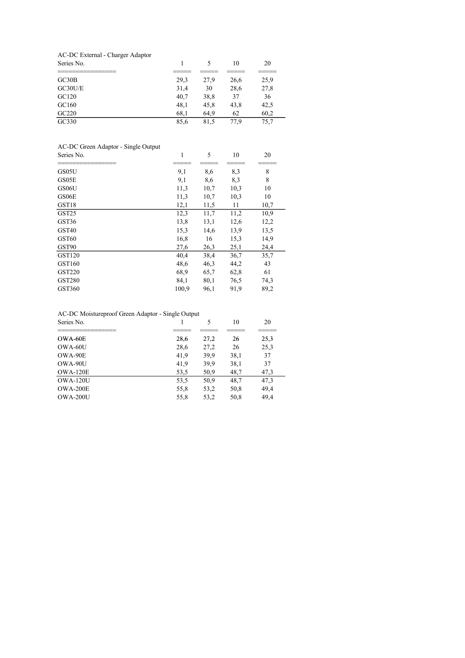| AC-DC External - Charger Adaptor |      |      |      |      |  |
|----------------------------------|------|------|------|------|--|
| Series No.                       |      |      | 10   | 20   |  |
|                                  |      |      |      |      |  |
| GC30B                            | 29,3 | 27,9 | 26,6 | 25,9 |  |
| GC30U/E                          | 31,4 | 30   | 28,6 | 27,8 |  |
| GC120                            | 40.7 | 38,8 | 37   | 36   |  |
| GC160                            | 48,1 | 45,8 | 43,8 | 42,5 |  |
| GC220                            | 68,1 | 64,9 | 62   | 60,2 |  |
| GC330                            | 85.6 | 81.5 | 77.9 | 75.7 |  |

| AC-DC Green Adaptor - Single Output |       |      |      |      |
|-------------------------------------|-------|------|------|------|
| Series No.                          | 1     | 5    | 10   | 20   |
|                                     |       |      |      |      |
| GS05U                               | 9,1   | 8,6  | 8,3  | 8    |
| GS05E                               | 9,1   | 8,6  | 8,3  | 8    |
| GS06U                               | 11,3  | 10,7 | 10,3 | 10   |
| GS06E                               | 11,3  | 10,7 | 10,3 | 10   |
| GST18                               | 12,1  | 11,5 | 11   | 10,7 |
| GST <sub>25</sub>                   | 12,3  | 11,7 | 11,2 | 10,9 |
| GST36                               | 13,8  | 13,1 | 12,6 | 12,2 |
| GST <sub>40</sub>                   | 15,3  | 14,6 | 13,9 | 13,5 |
| GST60                               | 16,8  | 16   | 15,3 | 14,9 |
| GST90                               | 27,6  | 26,3 | 25,1 | 24,4 |
| GST120                              | 40,4  | 38,4 | 36,7 | 35,7 |
| GST160                              | 48,6  | 46,3 | 44,2 | 43   |
| <b>GST220</b>                       | 68,9  | 65,7 | 62,8 | 61   |
| <b>GST280</b>                       | 84,1  | 80,1 | 76,5 | 74,3 |
| GST360                              | 100,9 | 96,1 | 91,9 | 89,2 |
|                                     |       |      |      |      |

# AC-DC Moistureproof Green Adaptor - Single Output

| Series No. |      | 5    | 10   | 20   |
|------------|------|------|------|------|
|            |      |      |      |      |
| OWA-60E    | 28,6 | 27,2 | 26   | 25,3 |
| OWA-60U    | 28,6 | 27,2 | 26   | 25,3 |
| OWA-90E    | 41,9 | 39,9 | 38,1 | 37   |
| OWA-90U    | 41,9 | 39,9 | 38,1 | 37   |
| OWA-120E   | 53,5 | 50,9 | 48,7 | 47,3 |
| OWA-120U   | 53,5 | 50,9 | 48,7 | 47,3 |
| OWA-200E   | 55,8 | 53,2 | 50,8 | 49,4 |
| OWA-200U   | 55,8 | 53,2 | 50,8 | 49,4 |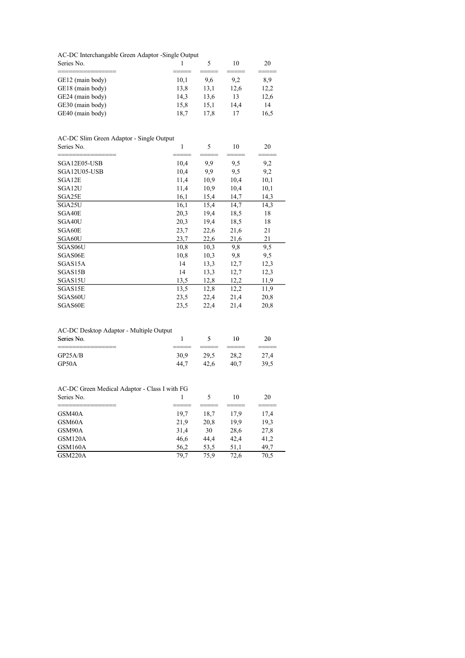#### AC-DC Interchangable Green Adaptor -Single Output

| Series No.       |      |      | 10   | 20   |
|------------------|------|------|------|------|
|                  |      |      |      |      |
| GE12 (main body) | 10.1 | 9.6  | 9.2  | 8,9  |
| GE18 (main body) | 13.8 | 13.1 | 12.6 | 12,2 |
| GE24 (main body) | 14.3 | 13.6 | 13   | 12,6 |
| GE30 (main body) | 15.8 | 15.1 | 14.4 | 14   |
| GE40 (main body) | 18.7 | 17.8 | 17   | 16,5 |

## AC-DC Slim Green Adaptor - Single Output

| Series No.   | 1    | 5    | 10   | 20   |
|--------------|------|------|------|------|
|              |      |      |      |      |
| SGA12E05-USB | 10,4 | 9,9  | 9,5  | 9,2  |
| SGA12U05-USB | 10,4 | 9,9  | 9,5  | 9,2  |
| SGA12E       | 11,4 | 10,9 | 10,4 | 10,1 |
| SGA12U       | 11,4 | 10,9 | 10,4 | 10,1 |
| SGA25E       | 16,1 | 15,4 | 14,7 | 14,3 |
| SGA25U       | 16,1 | 15,4 | 14,7 | 14,3 |
| SGA40E       | 20,3 | 19,4 | 18,5 | 18   |
| SGA40U       | 20,3 | 19,4 | 18,5 | 18   |
| SGA60E       | 23,7 | 22,6 | 21,6 | 21   |
| SGA60U       | 23,7 | 22,6 | 21,6 | 21   |
| SGAS06U      | 10,8 | 10,3 | 9,8  | 9,5  |
| SGAS06E      | 10,8 | 10,3 | 9,8  | 9,5  |
| SGAS15A      | 14   | 13,3 | 12,7 | 12,3 |
| SGAS15B      | 14   | 13,3 | 12,7 | 12,3 |
| SGAS15U      | 13,5 | 12,8 | 12,2 | 11,9 |
| SGAS15E      | 13,5 | 12,8 | 12,2 | 11,9 |
| SGAS60U      | 23,5 | 22,4 | 21,4 | 20,8 |
| SGAS60E      | 23,5 | 22,4 | 21,4 | 20,8 |

## AC-DC Desktop Adaptor - Multiple Output

| Series No. |        |       | 10   |         |
|------------|--------|-------|------|---------|
|            | ______ | _____ |      | _______ |
| GP25A/B    | 30.9   | 29.5  | 28.2 | 27.4    |
| GP50A      | 44.7   | 42.6  | 40.7 | 39.5    |

#### AC-DC Green Medical Adaptor - Class I with FG

| Series No. |      |      | 10   | 20   |
|------------|------|------|------|------|
|            |      |      |      |      |
| GSM40A     | 19.7 | 18.7 | 17.9 | 17,4 |
| GSM60A     | 21.9 | 20.8 | 19.9 | 19,3 |
| GSM90A     | 31,4 | 30   | 28,6 | 27,8 |
| GSM120A    | 46,6 | 44.4 | 42.4 | 41,2 |
| GSM160A    | 56,2 | 53,5 | 51,1 | 49,7 |
| GSM220A    | 79.7 | 75.9 | 72.6 | 70,5 |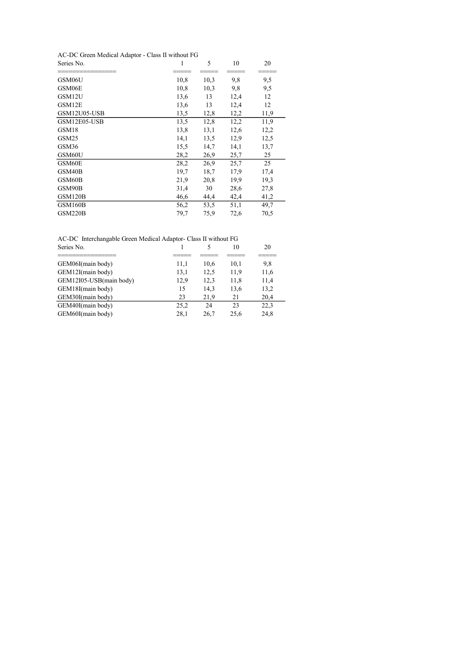#### AC-DC Green Medical Adaptor - Class II without FG

| Series No.        | 1    | 5    | 10   | 20   |
|-------------------|------|------|------|------|
| GSM06U            | 10,8 | 10,3 | 9,8  | 9,5  |
| GSM06E            | 10,8 | 10,3 | 9,8  | 9,5  |
| GSM12U            | 13,6 | 13   | 12,4 | 12   |
| GSM12E            | 13,6 | 13   | 12,4 | 12   |
| GSM12U05-USB      | 13,5 | 12,8 | 12,2 | 11,9 |
| GSM12E05-USB      | 13,5 | 12,8 | 12,2 | 11,9 |
| GSM18             | 13,8 | 13,1 | 12,6 | 12,2 |
| GSM <sub>25</sub> | 14,1 | 13,5 | 12,9 | 12,5 |
| GSM36             | 15,5 | 14,7 | 14,1 | 13,7 |
| GSM60U            | 28,2 | 26,9 | 25,7 | 25   |
| GSM60E            | 28,2 | 26,9 | 25,7 | 25   |
| GSM40B            | 19,7 | 18,7 | 17,9 | 17,4 |
| GSM60B            | 21,9 | 20,8 | 19,9 | 19,3 |
| GSM90B            | 31,4 | 30   | 28,6 | 27,8 |
| GSM120B           | 46,6 | 44,4 | 42,4 | 41,2 |
| GSM160B           | 56,2 | 53,5 | 51,1 | 49,7 |
| GSM220B           | 79,7 | 75,9 | 72,6 | 70,5 |

|  | AC-DC Interchangable Green Medical Adaptor- Class II without FG |  |
|--|-----------------------------------------------------------------|--|
|  |                                                                 |  |

| Series No.              |      |      | 10   | 20   |
|-------------------------|------|------|------|------|
|                         |      |      |      |      |
| GEM06I(main body)       | 11,1 | 10,6 | 10.1 | 9,8  |
| GEM12I(main body)       | 13,1 | 12,5 | 11,9 | 11,6 |
| GEM12I05-USB(main body) | 12,9 | 12.3 | 11.8 | 11,4 |
| GEM18I(main body)       | 15   | 14,3 | 13,6 | 13,2 |
| GEM30I(main body)       | 23   | 21.9 | 21   | 20,4 |
| GEM40I(main body)       | 25,2 | 24   | 23   | 22,3 |
| GEM60I(main body)       | 28,1 | 26.7 | 25.6 | 24,8 |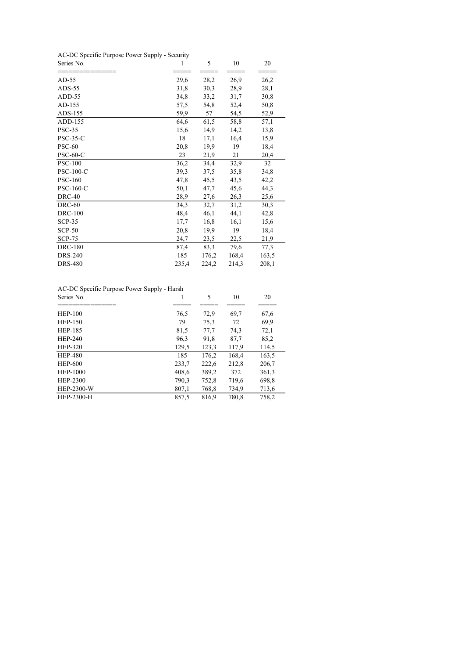AC-DC Specific Purpose Power Supply - Security

| Series No.       | 1     | 5     | 10    | 20    |
|------------------|-------|-------|-------|-------|
| $AD-55$          | 29,6  | 28,2  | 26,9  | 26,2  |
| $ADS-55$         | 31,8  | 30,3  | 28,9  | 28,1  |
| $ADD-55$         | 34,8  | 33,2  | 31,7  | 30,8  |
| AD-155           | 57,5  | 54,8  | 52,4  | 50,8  |
| ADS-155          | 59,9  | 57    | 54,5  | 52,9  |
| ADD-155          | 64,6  | 61,5  | 58,8  | 57,1  |
| <b>PSC-35</b>    | 15,6  | 14,9  | 14,2  | 13,8  |
| $PSC-35-C$       | 18    | 17,1  | 16,4  | 15,9  |
| <b>PSC-60</b>    | 20,8  | 19,9  | 19    | 18,4  |
| <b>PSC-60-C</b>  | 23    | 21,9  | 21    | 20,4  |
| <b>PSC-100</b>   | 36,2  | 34,4  | 32,9  | 32    |
| <b>PSC-100-C</b> | 39,3  | 37,5  | 35,8  | 34,8  |
| <b>PSC-160</b>   | 47,8  | 45,5  | 43,5  | 42,2  |
| <b>PSC-160-C</b> | 50,1  | 47,7  | 45,6  | 44,3  |
| <b>DRC-40</b>    | 28,9  | 27,6  | 26,3  | 25,6  |
| DRC-60           | 34,3  | 32,7  | 31,2  | 30,3  |
| <b>DRC-100</b>   | 48,4  | 46,1  | 44,1  | 42,8  |
| $SCP-35$         | 17,7  | 16,8  | 16,1  | 15,6  |
| $SCP-50$         | 20,8  | 19,9  | 19    | 18,4  |
| <b>SCP-75</b>    | 24,7  | 23,5  | 22,5  | 21,9  |
| <b>DRC-180</b>   | 87,4  | 83,3  | 79,6  | 77,3  |
| <b>DRS-240</b>   | 185   | 176,2 | 168,4 | 163,5 |
| <b>DRS-480</b>   | 235,4 | 224,2 | 214,3 | 208,1 |

AC-DC Specific Purpose Power Supply - Harsh

| Series No.      | 1     | 5     | 10    | 20    |
|-----------------|-------|-------|-------|-------|
|                 |       |       |       |       |
| <b>HEP-100</b>  | 76,5  | 72,9  | 69,7  | 67,6  |
| <b>HEP-150</b>  | 79    | 75,3  | 72    | 69,9  |
| <b>HEP-185</b>  | 81,5  | 77,7  | 74,3  | 72,1  |
| <b>HEP-240</b>  | 96,3  | 91,8  | 87,7  | 85,2  |
| <b>HEP-320</b>  | 129,5 | 123,3 | 117,9 | 114,5 |
| <b>HEP-480</b>  | 185   | 176,2 | 168,4 | 163,5 |
| <b>HEP-600</b>  | 233,7 | 222,6 | 212,8 | 206,7 |
| <b>HEP-1000</b> | 408,6 | 389,2 | 372   | 361,3 |
| HEP-2300        | 790,3 | 752,8 | 719,6 | 698,8 |
| HEP-2300-W      | 807,1 | 768,8 | 734,9 | 713,6 |
| HEP-2300-H      | 857,5 | 816,9 | 780,8 | 758,2 |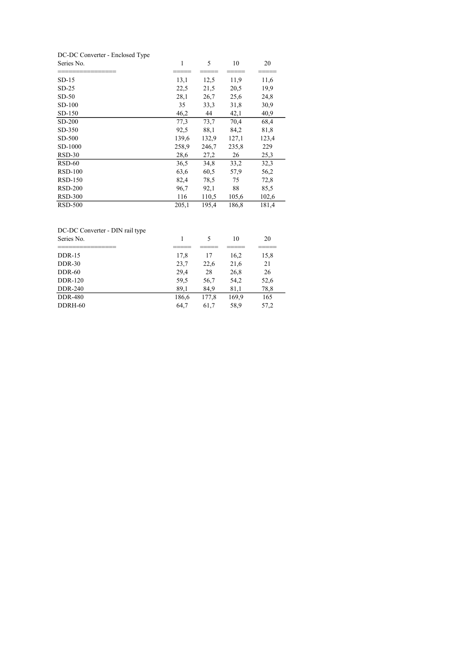| DC-DC Converter - Enclosed Type |       |       |       |       |  |
|---------------------------------|-------|-------|-------|-------|--|
| Series No.                      | 1     | 5     | 10    | 20    |  |
| SD-15                           | 13,1  | 12,5  | 11,9  | 11,6  |  |
| $SD-25$                         | 22,5  | 21,5  | 20,5  | 19,9  |  |
| $SD-50$                         | 28,1  | 26,7  | 25,6  | 24,8  |  |
| $SD-100$                        | 35    | 33,3  | 31,8  | 30,9  |  |
| SD-150                          | 46,2  | 44    | 42,1  | 40,9  |  |
| SD-200                          | 77,3  | 73,7  | 70,4  | 68,4  |  |
| SD-350                          | 92,5  | 88,1  | 84,2  | 81,8  |  |
| SD-500                          | 139,6 | 132,9 | 127,1 | 123,4 |  |
| SD-1000                         | 258,9 | 246,7 | 235,8 | 229   |  |
| $RSD-30$                        | 28,6  | 27,2  | 26    | 25,3  |  |
| $RSD-60$                        | 36,5  | 34,8  | 33,2  | 32,3  |  |
| $RSD-100$                       | 63,6  | 60,5  | 57,9  | 56,2  |  |
| RSD-150                         | 82,4  | 78,5  | 75    | 72,8  |  |
| $RSD-200$                       | 96,7  | 92,1  | 88    | 85,5  |  |
| <b>RSD-300</b>                  | 116   | 110,5 | 105,6 | 102,6 |  |
| <b>RSD-500</b>                  | 205,1 | 195,4 | 186,8 | 181,4 |  |

# DC-DC Converter - DIN rail type

| Series No.     |       |       | 10    | 20   |
|----------------|-------|-------|-------|------|
|                |       |       |       |      |
| $DDR-15$       | 17,8  | 17    | 16,2  | 15,8 |
| $DDR-30$       | 23,7  | 22,6  | 21,6  | 21   |
| $DDR-60$       | 29,4  | 28    | 26,8  | 26   |
| <b>DDR-120</b> | 59,5  | 56,7  | 54,2  | 52,6 |
| DDR-240        | 89,1  | 84,9  | 81,1  | 78,8 |
| <b>DDR-480</b> | 186,6 | 177,8 | 169,9 | 165  |
| DDRH-60        | 64,7  | 61,7  | 58,9  | 57,2 |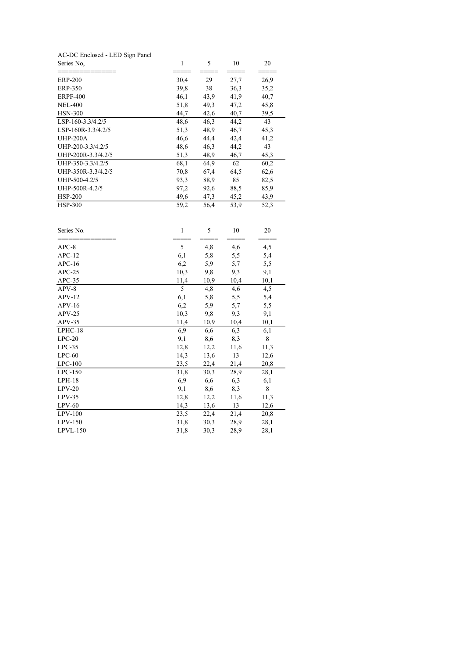| Series No.                      |  |  |
|---------------------------------|--|--|
| AC-DC Enclosed - LED Sign Panel |  |  |

| <b>ERP-200</b>     | 30,4 | 29   | 27,7 | 26,9 |
|--------------------|------|------|------|------|
| ERP-350            | 39,8 | 38   | 36,3 | 35,2 |
| <b>ERPF-400</b>    | 46,1 | 43,9 | 41,9 | 40,7 |
| <b>NEL-400</b>     | 51,8 | 49,3 | 47,2 | 45,8 |
| <b>HSN-300</b>     | 44,7 | 42,6 | 40,7 | 39,5 |
| LSP-160-3.3/4.2/5  | 48,6 | 46,3 | 44,2 | 43   |
| LSP-160R-3.3/4.2/5 | 51,3 | 48,9 | 46,7 | 45,3 |
| <b>UHP-200A</b>    | 46,6 | 44,4 | 42,4 | 41,2 |
| UHP-200-3.3/4.2/5  | 48,6 | 46,3 | 44,2 | 43   |
| UHP-200R-3.3/4.2/5 | 51,3 | 48,9 | 46,7 | 45,3 |
| UHP-350-3.3/4.2/5  | 68,1 | 64,9 | 62   | 60,2 |
| UHP-350R-3.3/4.2/5 | 70,8 | 67,4 | 64,5 | 62,6 |
| UHP-500-4.2/5      | 93,3 | 88,9 | 85   | 82,5 |
| UHP-500R-4.2/5     | 97,2 | 92,6 | 88,5 | 85,9 |
| $HSP-200$          | 49,6 | 47,3 | 45,2 | 43,9 |
| <b>HSP-300</b>     | 59,2 | 56,4 | 53,9 | 52,3 |

| Series No. | $\mathbf{1}$ | 5    | 10   | 20   |
|------------|--------------|------|------|------|
| $APC-8$    | 5            | 4,8  | 4,6  | 4,5  |
| $APC-12$   | 6,1          | 5,8  | 5,5  | 5,4  |
| $APC-16$   | 6,2          | 5,9  | 5,7  | 5,5  |
| $APC-25$   | 10,3         | 9,8  | 9,3  | 9,1  |
| $APC-35$   | 11,4         | 10,9 | 10,4 | 10,1 |
| $APV-8$    | 5            | 4,8  | 4,6  | 4,5  |
| $APV-12$   | 6,1          | 5,8  | 5,5  | 5,4  |
| $APV-16$   | 6,2          | 5,9  | 5,7  | 5,5  |
| $APV-25$   | 10,3         | 9,8  | 9,3  | 9,1  |
| APV-35     | 11,4         | 10,9 | 10,4 | 10,1 |
| $LPHC-18$  | 6,9          | 6,6  | 6,3  | 6,1  |
| $LPC-20$   | 9,1          | 8,6  | 8,3  | 8    |
| $LPC-35$   | 12,8         | 12,2 | 11,6 | 11,3 |
| $LPC-60$   | 14,3         | 13,6 | 13   | 12,6 |
| $LPC-100$  | 23,5         | 22,4 | 21,4 | 20,8 |
| $LPC-150$  | 31,8         | 30,3 | 28,9 | 28,1 |
| $LPH-18$   | 6,9          | 6,6  | 6,3  | 6,1  |
| $LPV-20$   | 9,1          | 8,6  | 8,3  | 8    |
| $LPV-35$   | 12,8         | 12,2 | 11,6 | 11,3 |
| $LPV-60$   | 14,3         | 13,6 | 13   | 12,6 |
| $LPV-100$  | 23,5         | 22,4 | 21,4 | 20,8 |
| $LPV-150$  | 31,8         | 30,3 | 28,9 | 28,1 |
| $LPVL-150$ | 31,8         | 30,3 | 28,9 | 28,1 |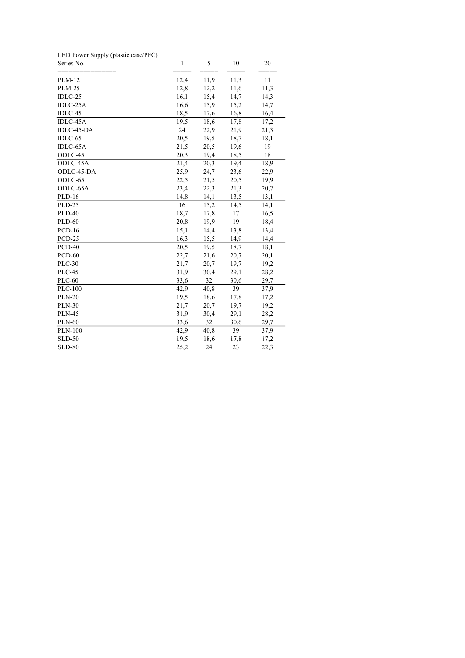| LED Power Supply (plastic case/PFC) |      |      |      |      |
|-------------------------------------|------|------|------|------|
| Series No.                          | 1    | 5    | 10   | 20   |
|                                     |      |      |      |      |
| <b>PLM-12</b>                       | 12,4 | 11,9 | 11,3 | 11   |
| <b>PLM-25</b>                       | 12,8 | 12,2 | 11,6 | 11,3 |
| IDLC-25                             | 16,1 | 15,4 | 14,7 | 14,3 |
| IDLC-25A                            | 16,6 | 15,9 | 15,2 | 14,7 |
| IDLC-45                             | 18,5 | 17,6 | 16,8 | 16,4 |
| IDLC-45A                            | 19,5 | 18,6 | 17,8 | 17,2 |
| IDLC-45-DA                          | 24   | 22,9 | 21,9 | 21,3 |
| IDLC-65                             | 20,5 | 19,5 | 18,7 | 18,1 |
| IDLC-65A                            | 21,5 | 20,5 | 19,6 | 19   |
| ODLC-45                             | 20,3 | 19,4 | 18,5 | 18   |
| ODLC-45A                            | 21,4 | 20,3 | 19,4 | 18,9 |
| ODLC-45-DA                          | 25,9 | 24,7 | 23,6 | 22,9 |
| ODLC-65                             | 22,5 | 21,5 | 20,5 | 19,9 |
| ODLC-65A                            | 23,4 | 22,3 | 21,3 | 20,7 |
| <b>PLD-16</b>                       | 14,8 | 14,1 | 13,5 | 13,1 |
| <b>PLD-25</b>                       | 16   | 15,2 | 14,5 | 14,1 |
| <b>PLD-40</b>                       | 18,7 | 17,8 | 17   | 16,5 |
| <b>PLD-60</b>                       | 20,8 | 19,9 | 19   | 18,4 |
| $PCD-16$                            | 15,1 | 14,4 | 13,8 | 13,4 |
| <b>PCD-25</b>                       | 16,3 | 15,5 | 14,9 | 14,4 |
| $PCD-40$                            | 20,5 | 19,5 | 18,7 | 18,1 |
| <b>PCD-60</b>                       | 22,7 | 21,6 | 20,7 | 20,1 |
| <b>PLC-30</b>                       | 21,7 | 20,7 | 19,7 | 19,2 |
| <b>PLC-45</b>                       | 31,9 | 30,4 | 29,1 | 28,2 |
| <b>PLC-60</b>                       | 33,6 | 32   | 30,6 | 29,7 |
| <b>PLC-100</b>                      | 42,9 | 40,8 | 39   | 37,9 |
| <b>PLN-20</b>                       | 19,5 | 18,6 | 17,8 | 17,2 |
| <b>PLN-30</b>                       | 21,7 | 20,7 | 19,7 | 19,2 |
| <b>PLN-45</b>                       | 31,9 | 30,4 | 29,1 | 28,2 |
| <b>PLN-60</b>                       | 33,6 | 32   | 30,6 | 29,7 |
| <b>PLN-100</b>                      | 42,9 | 40,8 | 39   | 37,9 |
| <b>SLD-50</b>                       | 19,5 | 18,6 | 17,8 | 17,2 |
| <b>SLD-80</b>                       | 25,2 | 24   | 23   | 22,3 |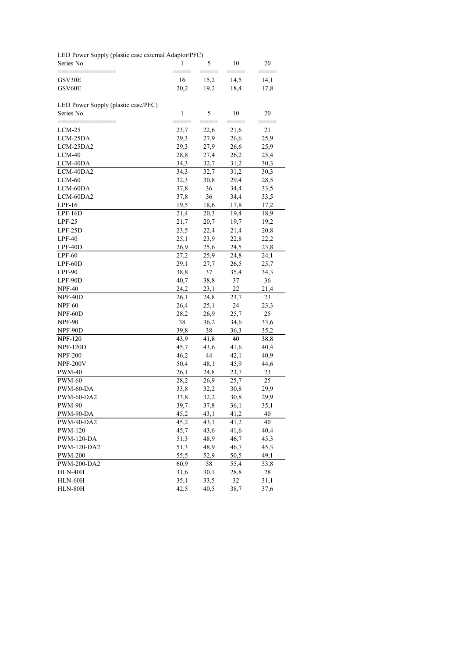LED Power Supply (plastic case external Adaptor/PFC)

| Series No.                                        | 1            | 5            | 10           | 20           |
|---------------------------------------------------|--------------|--------------|--------------|--------------|
| GSV30E<br>GSV60E                                  | 16<br>20,2   | 15,2<br>19,2 | 14,5<br>18,4 | 14,1<br>17,8 |
| LED Power Supply (plastic case/PFC)<br>Series No. | $\mathbf{1}$ | 5            | 10           | 20           |
|                                                   |              |              |              |              |
| LCM-25                                            | 23,7         | 22,6         | 21,6         | 21           |
| LCM-25DA                                          | 29,3         | 27,9         | 26,6         | 25,9         |
| LCM-25DA2                                         | 29,3         | 27,9         | 26,6         | 25,9         |
| $LCM-40$                                          | 28,8         | 27,4         | 26,2         | 25,4         |
| LCM-40DA                                          | 34,3         | 32,7         | 31,2         | 30,3         |
| LCM-40DA2                                         | 34,3         | 32,7         | 31,2         | 30,3         |
| $LCM-60$                                          | 32,3         | 30,8         | 29,4         | 28,5         |
| LCM-60DA                                          | 37,8         | 36           | 34,4         | 33,5         |
| LCM-60DA2                                         | 37,8         | 36           | 34,4         | 33,5         |
| $LPF-16$                                          | 19,5         | 18,6         | 17,8         | 17,2         |
| $LPF-16D$                                         | 21,4         | 20,3         | 19,4         | 18,9         |
| $LPF-25$                                          | 21,7         | 20,7         | 19,7         | 19,2         |
| $LPF-25D$                                         | 23,5         | 22,4         | 21,4         | 20,8         |
| $LPF-40$                                          | 25,1         | 23,9         | 22,8         | 22,2         |
| LPF-40D                                           | 26,9         | 25,6         | 24,5         | 23,8         |
| $LPF-60$                                          | 27,2         | 25,9         | 24,8         | 24,1         |
| $LPF-60D$                                         | 29,1         | 27,7         | 26,5         | 25,7         |
| LPF-90                                            | 38,8         | 37           | 35,4         | 34,3         |
| LPF-90D                                           | 40,7         | 38,8         | 37           | 36           |
| <b>NPF-40</b>                                     | 24,2         | 23,1         | 22           | 21,4         |
| NPF-40D                                           | 26,1         | 24,8         | 23,7         | 23           |
| <b>NPF-60</b>                                     | 26,4         | 25,1         | 24           | 23,3         |
| NPF-60D                                           | 28,2         | 26,9         | 25,7         | 25           |
| <b>NPF-90</b>                                     | 38           | 36,2         | 34,6         | 33,6         |
| NPF-90D                                           | 39,8         | 38           | 36,3         | 35,2         |
| <b>NPF-120</b>                                    | 43,9         | 41,8         | 40           | 38,8         |
| <b>NPF-120D</b>                                   | 45,7         | 43,6         | 41,6         | 40,4         |
| <b>NPF-200</b>                                    | 46,2         | 44           | 42,1         | 40,9         |
| <b>NPF-200V</b>                                   | 50,4         | 48,1         | 45,9         | 44,6         |
| <b>PWM-40</b>                                     | 26,1         | 24,8         | 23,7         | 23           |
| <b>PWM-60</b>                                     | 28,2         | 26,9         | 25,7         | 25           |
| PWM-60-DA                                         | 33,8         | 32,2         | 30,8         | 29,9         |
| PWM-60-DA2                                        | 33,8         | 32,2         | 30,8         | 29,9         |
| <b>PWM-90</b>                                     | 39,7         | 37,8         | 36,1         | 35,1         |
| PWM-90-DA                                         | 45,2         | 43,1         | 41,2         | 40           |
| PWM-90-DA2                                        | 45,2         | 43,1         | 41,2         | 40           |
| <b>PWM-120</b>                                    | 45,7         | 43,6         | 41,6         | 40,4         |
| <b>PWM-120-DA</b>                                 | 51,3         | 48,9         | 46,7         | 45,3         |
| PWM-120-DA2                                       | 51,3         | 48,9         | 46,7         | 45,3         |
| <b>PWM-200</b>                                    | 55,5         | 52,9         | 50,5         | 49,1         |
| PWM-200-DA2                                       | 60,9         | 58           | 55,4         | 53,8         |
| HLN-40H                                           | 31,6         | 30,1         | 28,8         | 28           |
| HLN-60H                                           | 35,1         | 33,5         | 32           | 31,1         |
| HLN-80H                                           | 42,5         | 40,5         | 38,7         | 37,6         |
|                                                   |              |              |              |              |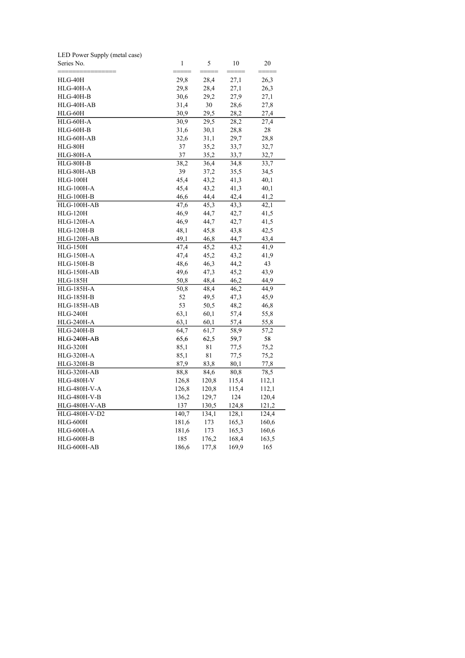| LED Power Supply (metal case) |       |       |       |       |
|-------------------------------|-------|-------|-------|-------|
| Series No.                    | 1     | 5     | 10    | 20    |
| HLG-40H                       | 29,8  | 28,4  | 27,1  | 26,3  |
| HLG-40H-A                     | 29,8  | 28,4  | 27,1  | 26,3  |
| $HLG-40H-B$                   | 30,6  | 29,2  | 27,9  | 27,1  |
| HLG-40H-AB                    | 31,4  | 30    | 28,6  | 27,8  |
| HLG-60H                       | 30,9  | 29,5  | 28,2  | 27,4  |
| HLG-60H-A                     | 30,9  | 29,5  | 28,2  | 27,4  |
| HLG-60H-B                     | 31,6  | 30,1  | 28,8  | 28    |
| HLG-60H-AB                    | 32,6  | 31,1  | 29,7  | 28,8  |
| HLG-80H                       | 37    | 35,2  | 33,7  | 32,7  |
| HLG-80H-A                     | 37    | 35,2  | 33,7  | 32,7  |
| HLG-80H-B                     | 38,2  | 36,4  | 34,8  | 33,7  |
| HLG-80H-AB                    | 39    | 37,2  | 35,5  | 34,5  |
| $HLG-100H$                    | 45,4  | 43,2  | 41,3  | 40,1  |
| <b>HLG-100H-A</b>             | 45,4  | 43,2  | 41,3  | 40,1  |
| <b>HLG-100H-B</b>             | 46,6  | 44,4  | 42,4  | 41,2  |
| HLG-100H-AB                   | 47,6  | 45,3  | 43,3  | 42,1  |
| <b>HLG-120H</b>               | 46,9  | 44,7  | 42,7  | 41,5  |
| <b>HLG-120H-A</b>             | 46,9  | 44,7  | 42,7  | 41,5  |
| <b>HLG-120H-B</b>             | 48,1  | 45,8  | 43,8  | 42,5  |
| HLG-120H-AB                   | 49,1  | 46,8  | 44,7  | 43,4  |
| $HLG-150H$                    | 47,4  | 45,2  | 43,2  | 41,9  |
| <b>HLG-150H-A</b>             | 47,4  | 45,2  | 43,2  | 41,9  |
| <b>HLG-150H-B</b>             | 48,6  | 46,3  | 44,2  | 43    |
| HLG-150H-AB                   | 49,6  | 47,3  | 45,2  | 43,9  |
| <b>HLG-185H</b>               | 50,8  | 48,4  | 46,2  | 44,9  |
| <b>HLG-185H-A</b>             | 50,8  | 48,4  | 46,2  | 44,9  |
| <b>HLG-185H-B</b>             | 52    | 49,5  | 47,3  | 45,9  |
| HLG-185H-AB                   | 53    | 50,5  | 48,2  | 46,8  |
| <b>HLG-240H</b>               | 63,1  | 60,1  | 57,4  | 55,8  |
| <b>HLG-240H-A</b>             | 63,1  | 60,1  | 57,4  | 55,8  |
| <b>HLG-240H-B</b>             | 64,7  | 61,7  | 58,9  | 57,2  |
| HLG-240H-AB                   | 65,6  | 62,5  | 59,7  | 58    |
| <b>HLG-320H</b>               | 85,1  | 81    | 77,5  | 75,2  |
| <b>HLG-320H-A</b>             | 85,1  | 81    | 77,5  | 75,2  |
| <b>HLG-320H-B</b>             | 87,9  | 83,8  | 80,1  | 77,8  |
| HLG-320H-AB                   | 88,8  | 84,6  | 80,8  | 78,5  |
| <b>HLG-480H-V</b>             | 126,8 | 120,8 | 115,4 | 112,1 |
| HLG-480H-V-A                  | 126,8 | 120,8 | 115,4 | 112,1 |
| <b>HLG-480H-V-B</b>           | 136,2 | 129,7 | 124   | 120,4 |
| HLG-480H-V-AB                 | 137   | 130,5 | 124,8 | 121,2 |
| HLG-480H-V-D2                 | 140,7 | 134,1 | 128,1 | 124,4 |
| <b>HLG-600H</b>               | 181,6 | 173   | 165,3 | 160,6 |
| HLG-600H-A                    | 181,6 | 173   | 165,3 | 160,6 |
| HLG-600H-B                    | 185   | 176,2 | 168,4 | 163,5 |
| HLG-600H-AB                   | 186,6 | 177,8 | 169,9 | 165   |
|                               |       |       |       |       |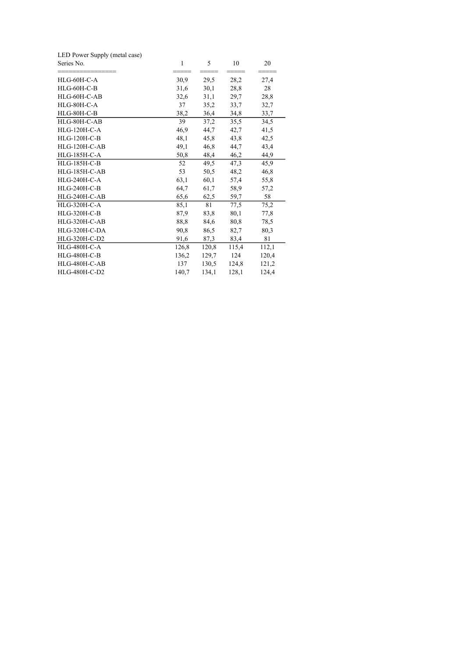| $\mathbf{1}$ | 5     | 10           | 20    |
|--------------|-------|--------------|-------|
|              |       |              | 27,4  |
| 31,6         |       | 28,8         | 28    |
| 32,6         | 31,1  | 29,7         | 28,8  |
| 37           | 35,2  | 33,7         | 32,7  |
| 38,2         | 36,4  | 34,8         | 33,7  |
| 39           | 37,2  | 35,5         | 34,5  |
| 46,9         | 44,7  | 42,7         | 41,5  |
| 48,1         | 45,8  | 43,8         | 42,5  |
| 49,1         | 46,8  | 44,7         | 43,4  |
| 50,8         | 48,4  | 46,2         | 44,9  |
| 52           | 49,5  | 47,3         | 45,9  |
| 53           | 50,5  | 48,2         | 46,8  |
| 63,1         | 60,1  | 57,4         | 55,8  |
| 64,7         | 61,7  | 58,9         | 57,2  |
| 65,6         | 62,5  | 59,7         | 58    |
| 85,1         | 81    | 77,5         | 75,2  |
| 87,9         | 83,8  | 80,1         | 77,8  |
| 88,8         | 84,6  | 80,8         | 78,5  |
| 90,8         | 86,5  | 82,7         | 80,3  |
| 91,6         | 87,3  | 83,4         | 81    |
| 126,8        | 120,8 | 115,4        | 112,1 |
| 136,2        | 129,7 | 124          | 120,4 |
| 137          | 130,5 | 124,8        | 121,2 |
| 140,7        | 134,1 | 128,1        | 124,4 |
|              | 30,9  | 29,5<br>30,1 | 28,2  |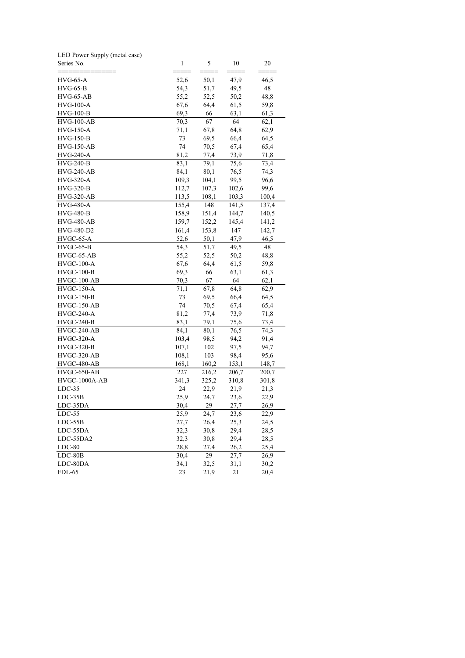| LED Power Supply (metal case) |              |       |       |       |
|-------------------------------|--------------|-------|-------|-------|
| Series No.                    | $\mathbf{1}$ | 5     | 10    | 20    |
| HVG-65-A                      | 52,6         | 50,1  | 47,9  | 46,5  |
| $HVG-65-B$                    | 54,3         | 51,7  | 49,5  | 48    |
| $HVG-65-AB$                   | 55,2         | 52,5  | 50,2  | 48,8  |
| HVG-100-A                     | 67,6         | 64,4  | 61,5  | 59,8  |
| <b>HVG-100-B</b>              | 69,3         | 66    | 63,1  | 61,3  |
| $HVG-100-AB$                  | 70,3         | 67    | 64    | 62,1  |
| <b>HVG-150-A</b>              | 71,1         | 67,8  | 64,8  | 62,9  |
| $HVG-150-B$                   | 73           | 69,5  | 66,4  | 64,5  |
| $HVG-150-AB$                  | 74           | 70,5  | 67,4  | 65,4  |
| <b>HVG-240-A</b>              | 81,2         | 77,4  | 73,9  | 71,8  |
| <b>HVG-240-B</b>              | 83,1         | 79,1  | 75,6  | 73,4  |
| HVG-240-AB                    | 84,1         | 80,1  | 76,5  | 74,3  |
| <b>HVG-320-A</b>              | 109,3        | 104,1 | 99,5  | 96,6  |
| <b>HVG-320-B</b>              | 112,7        | 107,3 | 102,6 | 99,6  |
| <b>HVG-320-AB</b>             | 113,5        | 108,1 | 103,3 | 100,4 |
| <b>HVG-480-A</b>              | 155,4        | 148   | 141,5 | 137,4 |
| <b>HVG-480-B</b>              | 158,9        | 151,4 | 144,7 | 140,5 |
| <b>HVG-480-AB</b>             | 159,7        | 152,2 | 145,4 | 141,2 |
| HVG-480-D2                    | 161,4        | 153,8 | 147   | 142,7 |
| HVGC-65-A                     | 52,6         | 50,1  | 47,9  | 46,5  |
| $HVGC-65-B$                   | 54,3         | 51,7  | 49,5  | 48    |
| HVGC-65-AB                    | 55,2         | 52,5  | 50,2  | 48,8  |
| $HVGC-100-A$                  | 67,6         | 64,4  | 61,5  | 59,8  |
| $HVGC-100-B$                  | 69,3         | 66    | 63,1  | 61,3  |
| HVGC-100-AB                   | 70,3         | 67    | 64    | 62,1  |
| $HVGC-150-A$                  | 71,1         | 67,8  | 64,8  | 62,9  |
| $HVGC-150-B$                  | 73           | 69,5  | 66,4  | 64,5  |
| $HVGC-150-AB$                 | 74           | 70,5  | 67,4  | 65,4  |
| $HVGC-240-A$                  | 81,2         | 77,4  | 73,9  | 71,8  |
| $HVGC-240-B$                  | 83,1         | 79,1  | 75,6  | 73,4  |
| HVGC-240-AB                   | 84,1         | 80,1  | 76,5  | 74,3  |
| <b>HVGC-320-A</b>             | 103,4        | 98,5  | 94,2  | 91,4  |
| $HVGC-320-B$                  | 107,1        | 102   | 97,5  | 94,7  |
| $HVGC-320-AB$                 | 108,1        | 103   | 98,4  | 95,6  |
| HVGC-480-AB                   | 168,1        | 160,2 | 153,1 | 148,7 |
| $HVGC-650-AB$                 | 227          | 216,2 | 206,7 | 200,7 |
| HVGC-1000A-AB                 | 341,3        | 325,2 | 310,8 | 301,8 |
| $LDC-35$                      | 24           | 22,9  | 21,9  | 21,3  |
| $LDC-35B$                     | 25,9         | 24,7  | 23,6  | 22,9  |
| LDC-35DA                      | 30,4         | 29    | 27,7  | 26,9  |
| $LDC-55$                      | 25,9         | 24,7  | 23,6  | 22,9  |
| LDC-55B                       | 27,7         | 26,4  | 25,3  | 24,5  |
| LDC-55DA                      | 32,3         | 30,8  | 29,4  | 28,5  |
| LDC-55DA2                     | 32,3         | 30,8  | 29,4  | 28,5  |
| $LDC-80$                      | 28,8         | 27,4  | 26,2  | 25,4  |
| $LDC-80B$                     | 30,4         | 29    | 27,7  | 26,9  |
| LDC-80DA                      | 34,1         | 32,5  | 31,1  | 30,2  |
| FDL-65                        | 23           | 21,9  | 21    | 20,4  |
|                               |              |       |       |       |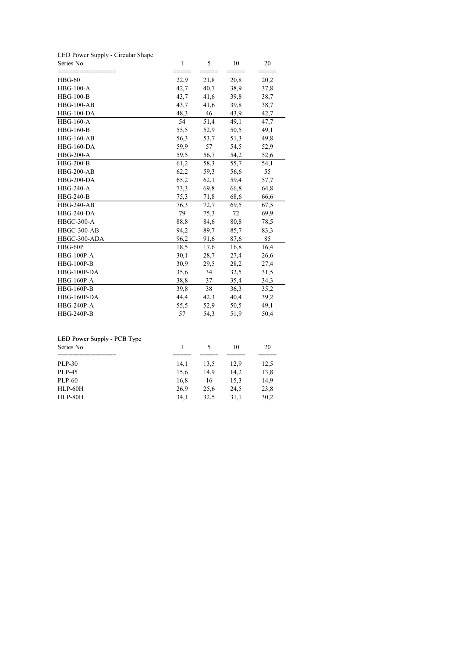|  |  | LED Power Supply - Circular Shape |  |
|--|--|-----------------------------------|--|
|  |  |                                   |  |

| Series No.        | 1            | 5    | 10              | 20<br>==== |  |
|-------------------|--------------|------|-----------------|------------|--|
| $HBG-60$          | ====<br>22,9 | 21,8 | $=====$<br>20,8 | 20,2       |  |
| <b>HBG-100-A</b>  | 42,7         | 40,7 | 38,9            | 37,8       |  |
| <b>HBG-100-B</b>  | 43,7         | 41,6 | 39,8            | 38,7       |  |
| $HBG-100-AB$      | 43,7         | 41,6 | 39,8            | 38,7       |  |
| $HBG-100-DA$      | 48,3         | 46   | 43,9            | 42,7       |  |
| $HBG-160-A$       | 54           | 51,4 | 49,1            | 47,7       |  |
| <b>HBG-160-B</b>  | 55,5         | 52,9 | 50,5            | 49,1       |  |
| <b>HBG-160-AB</b> | 56,3         | 53,7 | 51,3            | 49,8       |  |
| <b>HBG-160-DA</b> | 59,9         | 57   | 54,5            | 52,9       |  |
| <b>HBG-200-A</b>  | 59,5         | 56,7 | 54,2            | 52,6       |  |
| <b>HBG-200-B</b>  | 61,2         | 58,3 | 55,7            | 54,1       |  |
| <b>HBG-200-AB</b> | 62,2         | 59,3 | 56,6            | 55         |  |
| <b>HBG-200-DA</b> | 65,2         | 62,1 | 59,4            | 57,7       |  |
| <b>HBG-240-A</b>  | 73,3         | 69,8 | 66,8            | 64,8       |  |
| HBG-240-B         | 75,3         | 71,8 | 68,6            | 66,6       |  |
| <b>HBG-240-AB</b> | 76,3         | 72,7 | 69,5            | 67,5       |  |
| <b>HBG-240-DA</b> | 79           | 75,3 | 72              | 69,9       |  |
| <b>HBGC-300-A</b> | 88,8         | 84,6 | 80,8            | 78,5       |  |
| HBGC-300-AB       | 94,2         | 89,7 | 85,7            | 83,3       |  |
| HBGC-300-ADA      | 96,2         | 91,6 | 87,6            | 85         |  |
| $HBG-60P$         | 18,5         | 17,6 | 16,8            | 16,4       |  |
| <b>HBG-100P-A</b> | 30,1         | 28,7 | 27,4            | 26,6       |  |
| <b>HBG-100P-B</b> | 30,9         | 29,5 | 28,2            | 27,4       |  |
| HBG-100P-DA       | 35,6         | 34   | 32,5            | 31,5       |  |
| <b>HBG-160P-A</b> | 38,8         | 37   | 35,4            | 34,3       |  |
| <b>HBG-160P-B</b> | 39,8         | 38   | 36,3            | 35,2       |  |
| HBG-160P-DA       | 44,4         | 42,3 | 40,4            | 39,2       |  |
| <b>HBG-240P-A</b> | 55,5         | 52,9 | 50,5            | 49,1       |  |
| <b>HBG-240P-B</b> | 57           | 54,3 | 51,9            | 50,4       |  |

## LED Power Supply - PCB Type

| LED Power Supply - PCB Type<br>Series No. |      |      | 10   | 20   |
|-------------------------------------------|------|------|------|------|
|                                           |      |      |      |      |
| PLP-30                                    | 14.1 | 13.5 | 12.9 | 12,5 |
| PLP-45                                    | 15.6 | 14.9 | 14.2 | 13,8 |
| PLP-60                                    | 16.8 | 16   | 15.3 | 14,9 |
| <b>HLP-60H</b>                            | 26.9 | 25.6 | 24.5 | 23,8 |
| HLP-80H                                   | 34.1 | 32,5 | 31.1 | 30,2 |
|                                           |      |      |      |      |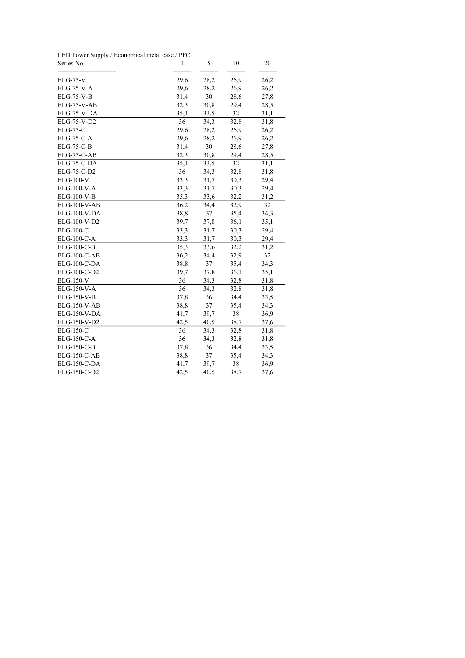LED Power Supply / Economical metal case / PFC

| Series No.          | $\mathbf{1}$ | 5    | 10   | 20   |
|---------------------|--------------|------|------|------|
| $ELG-75-V$          | 29,6         | 28,2 | 26,9 | 26,2 |
| <b>ELG-75-V-A</b>   | 29,6         | 28,2 | 26,9 | 26,2 |
| <b>ELG-75-V-B</b>   | 31,4         | 30   | 28,6 | 27,8 |
| ELG-75-V-AB         | 32,3         | 30,8 | 29,4 | 28,5 |
| ELG-75-V-DA         | 35,1         | 33,5 | 32   | 31,1 |
| ELG-75-V-D2         | 36           | 34,3 | 32,8 | 31,8 |
| <b>ELG-75-C</b>     | 29,6         | 28,2 | 26,9 | 26,2 |
| <b>ELG-75-C-A</b>   | 29,6         | 28,2 | 26,9 | 26,2 |
| $ELG-75-C-B$        | 31,4         | 30   | 28,6 | 27,8 |
| ELG-75-C-AB         | 32,3         | 30,8 | 29,4 | 28,5 |
| ELG-75-C-DA         | 35,1         | 33,5 | 32   | 31,1 |
| ELG-75-C-D2         | 36           | 34,3 | 32,8 | 31,8 |
| <b>ELG-100-V</b>    | 33,3         | 31,7 | 30,3 | 29,4 |
| ELG-100-V-A         | 33,3         | 31,7 | 30,3 | 29,4 |
| ELG-100-V-B         | 35,3         | 33,6 | 32,2 | 31,2 |
| <b>ELG-100-V-AB</b> | 36,2         | 34,4 | 32,9 | 32   |
| ELG-100-V-DA        | 38,8         | 37   | 35,4 | 34,3 |
| ELG-100-V-D2        | 39,7         | 37,8 | 36,1 | 35,1 |
| <b>ELG-100-C</b>    | 33,3         | 31,7 | 30,3 | 29,4 |
| <b>ELG-100-C-A</b>  | 33,3         | 31,7 | 30,3 | 29,4 |
| ELG-100-C-B         | 35,3         | 33,6 | 32,2 | 31,2 |
| ELG-100-C-AB        | 36,2         | 34,4 | 32,9 | 32   |
| ELG-100-C-DA        | 38,8         | 37   | 35,4 | 34,3 |
| ELG-100-C-D2        | 39,7         | 37,8 | 36,1 | 35,1 |
| ELG-150-V           | 36           | 34,3 | 32,8 | 31,8 |
| ELG-150-V-A         | 36           | 34,3 | 32,8 | 31,8 |
| ELG-150-V-B         | 37,8         | 36   | 34,4 | 33,5 |
| <b>ELG-150-V-AB</b> | 38,8         | 37   | 35,4 | 34,3 |
| ELG-150-V-DA        | 41,7         | 39,7 | 38   | 36,9 |
| ELG-150-V-D2        | 42,5         | 40,5 | 38,7 | 37,6 |
| ELG-150-C           | 36           | 34,3 | 32,8 | 31,8 |
| ELG-150-C-A         | 36           | 34,3 | 32,8 | 31,8 |
| ELG-150-C-B         | 37,8         | 36   | 34,4 | 33,5 |
| ELG-150-C-AB        | 38,8         | 37   | 35,4 | 34,3 |
| ELG-150-C-DA        | 41,7         | 39,7 | 38   | 36,9 |
| ELG-150-C-D2        | 42,5         | 40,5 | 38,7 | 37,6 |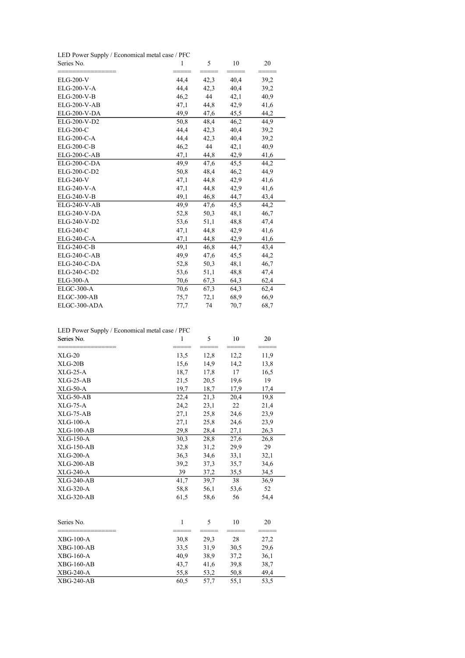LED Power Supply / Economical metal case / PFC

| Series No.          | $\mathbf{1}$ | 5    | 10   | 20   |
|---------------------|--------------|------|------|------|
| <b>ELG-200-V</b>    | 44,4         | 42,3 | 40,4 | 39,2 |
| ELG-200-V-A         | 44,4         | 42,3 | 40,4 | 39,2 |
| <b>ELG-200-V-B</b>  | 46,2         | 44   | 42,1 | 40,9 |
| <b>ELG-200-V-AB</b> | 47,1         | 44,8 | 42,9 | 41,6 |
| <b>ELG-200-V-DA</b> | 49,9         | 47,6 | 45,5 | 44,2 |
| ELG-200-V-D2        | 50,8         | 48,4 | 46,2 | 44,9 |
| $ELG-200-C$         | 44,4         | 42,3 | 40,4 | 39,2 |
| <b>ELG-200-C-A</b>  | 44,4         | 42,3 | 40,4 | 39,2 |
| <b>ELG-200-C-B</b>  | 46,2         | 44   | 42,1 | 40,9 |
| ELG-200-C-AB        | 47,1         | 44,8 | 42,9 | 41,6 |
| ELG-200-C-DA        | 49,9         | 47,6 | 45,5 | 44,2 |
| ELG-200-C-D2        | 50,8         | 48,4 | 46,2 | 44,9 |
| <b>ELG-240-V</b>    | 47,1         | 44,8 | 42,9 | 41,6 |
| ELG-240-V-A         | 47,1         | 44,8 | 42,9 | 41,6 |
| ELG-240-V-B         | 49,1         | 46,8 | 44,7 | 43,4 |
| <b>ELG-240-V-AB</b> | 49,9         | 47,6 | 45,5 | 44,2 |
| <b>ELG-240-V-DA</b> | 52,8         | 50,3 | 48,1 | 46,7 |
| ELG-240-V-D2        | 53,6         | 51,1 | 48,8 | 47,4 |
| <b>ELG-240-C</b>    | 47,1         | 44,8 | 42,9 | 41,6 |
| ELG-240-C-A         | 47,1         | 44,8 | 42,9 | 41,6 |
| ELG-240-C-B         | 49,1         | 46,8 | 44,7 | 43,4 |
| ELG-240-C-AB        | 49,9         | 47,6 | 45,5 | 44,2 |
| $ELG-240-C-DA$      | 52,8         | 50,3 | 48,1 | 46,7 |
| ELG-240-C-D2        | 53,6         | 51,1 | 48,8 | 47,4 |
| <b>ELG-300-A</b>    | 70,6         | 67,3 | 64,3 | 62,4 |
| ELGC-300-A          | 70,6         | 67,3 | 64,3 | 62,4 |
| ELGC-300-AB         | 75,7         | 72,1 | 68,9 | 66,9 |
| ELGC-300-ADA        | 77,7         | 74   | 70,7 | 68,7 |

| LED Power Supply / Economical metal case / PFC |  |  |
|------------------------------------------------|--|--|
|------------------------------------------------|--|--|

| Series No.       | $\mathbf{1}$ | 5    | 10   | 20   |
|------------------|--------------|------|------|------|
| $XLG-20$         | 13,5         | 12,8 | 12,2 | 11,9 |
| $XLG-20B$        | 15,6         | 14,9 | 14,2 | 13,8 |
| $XLG-25-A$       | 18,7         | 17,8 | 17   | 16,5 |
| $XLG-25-AB$      | 21,5         | 20,5 | 19,6 | 19   |
| $XLG-50-A$       | 19,7         | 18,7 | 17,9 | 17,4 |
| $XLG-50-AB$      | 22,4         | 21,3 | 20,4 | 19,8 |
| $XLG-75-A$       | 24,2         | 23,1 | 22   | 21,4 |
| $XLG-75-AB$      | 27,1         | 25,8 | 24,6 | 23,9 |
| <b>XLG-100-A</b> | 27,1         | 25,8 | 24,6 | 23,9 |
| $XLG-100-AB$     | 29,8         | 28,4 | 27,1 | 26,3 |
| <b>XLG-150-A</b> | 30,3         | 28,8 | 27,6 | 26,8 |
| $XLG-150-AB$     | 32,8         | 31,2 | 29,9 | 29   |
| $XLG-200-A$      | 36,3         | 34,6 | 33,1 | 32,1 |
| $XLG-200-AB$     | 39,2         | 37,3 | 35,7 | 34,6 |
| <b>XLG-240-A</b> | 39           | 37,2 | 35,5 | 34,5 |
| $XLG-240-AB$     | 41,7         | 39,7 | 38   | 36,9 |
| XLG-320-A        | 58,8         | 56,1 | 53,6 | 52   |
| $XLG-320-AB$     | 61,5         | 58,6 | 56   | 54,4 |
| Series No.       | $\mathbf{1}$ | 5    | 10   | 20   |
| $XBG-100-A$      | 30,8         | 29,3 | 28   | 27,2 |
| $XBG-100-AB$     | 33,5         | 31,9 | 30,5 | 29,6 |
| <b>XBG-160-A</b> | 40,9         | 38,9 | 37,2 | 36,1 |
| $XBG-160-AB$     | 43,7         | 41,6 | 39,8 | 38,7 |
| <b>XBG-240-A</b> | 55,8         | 53,2 | 50,8 | 49,4 |
| $XBG-240-AB$     | 60,5         | 57.7 | 55,1 | 53,5 |